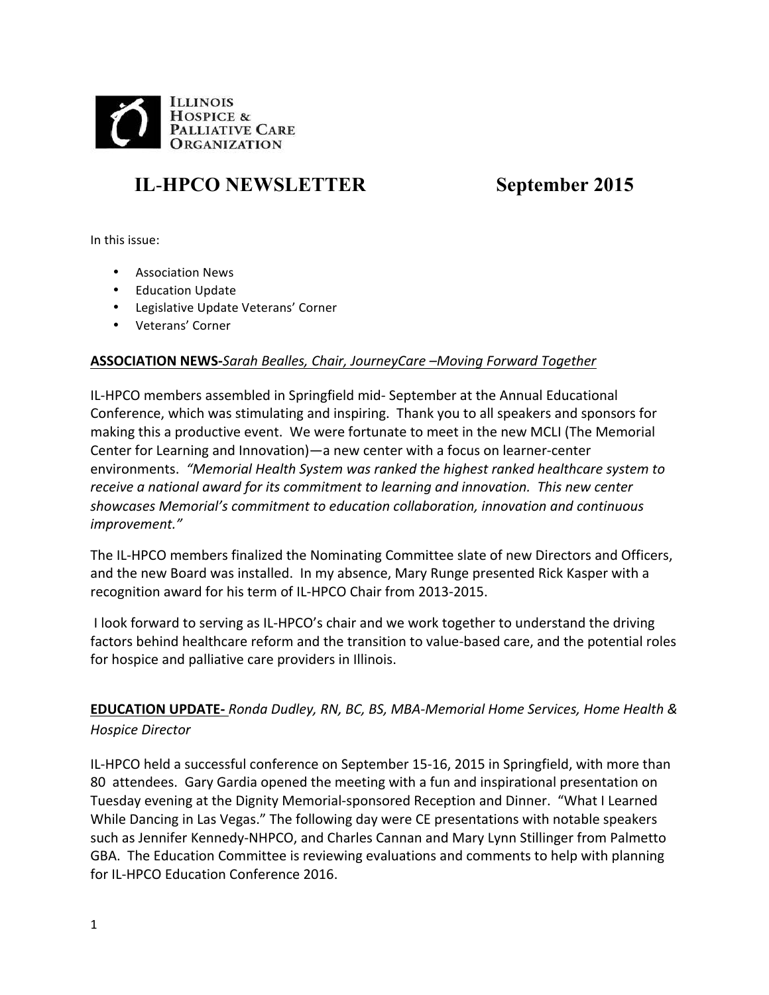

# **IL**-**HPCO NEWSLETTER September 2015**

In this issue:

- Association News
- Education Update
- Legislative Update Veterans' Corner
- Veterans' Corner

# **ASSOCIATION NEWS-***Sarah Bealles, Chair, JourneyCare –Moving Forward Together*

IL-HPCO members assembled in Springfield mid- September at the Annual Educational Conference, which was stimulating and inspiring. Thank you to all speakers and sponsors for making this a productive event. We were fortunate to meet in the new MCLI (The Memorial Center for Learning and Innovation)—a new center with a focus on learner-center environments. "Memorial Health System was ranked the highest ranked healthcare system to receive a national award for its commitment to learning and innovation. This new center showcases Memorial's commitment to education collaboration, innovation and continuous *improvement."*

The IL-HPCO members finalized the Nominating Committee slate of new Directors and Officers, and the new Board was installed. In my absence, Mary Runge presented Rick Kasper with a recognition award for his term of IL-HPCO Chair from 2013-2015.

I look forward to serving as IL-HPCO's chair and we work together to understand the driving factors behind healthcare reform and the transition to value-based care, and the potential roles for hospice and palliative care providers in Illinois.

**EDUCATION UPDATE-** *Ronda Dudley, RN, BC, BS, MBA-Memorial Home Services, Home Health & Hospice Director*

IL-HPCO held a successful conference on September 15-16, 2015 in Springfield, with more than 80 attendees. Gary Gardia opened the meeting with a fun and inspirational presentation on Tuesday evening at the Dignity Memorial-sponsored Reception and Dinner. "What I Learned While Dancing in Las Vegas." The following day were CE presentations with notable speakers such as Jennifer Kennedy-NHPCO, and Charles Cannan and Mary Lynn Stillinger from Palmetto GBA. The Education Committee is reviewing evaluations and comments to help with planning for IL-HPCO Education Conference 2016.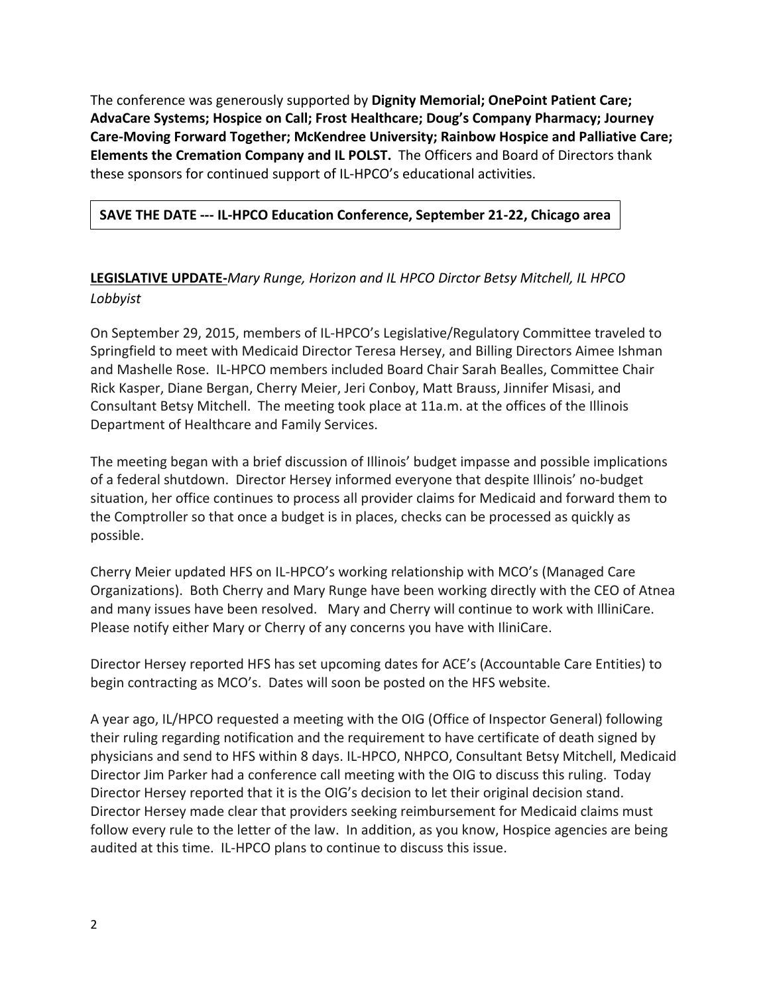The conference was generously supported by Dignity Memorial; OnePoint Patient Care; AdvaCare Systems; Hospice on Call; Frost Healthcare; Doug's Company Pharmacy; Journey Care-Moving Forward Together; McKendree University; Rainbow Hospice and Palliative Care; **Elements the Cremation Company and IL POLST.** The Officers and Board of Directors thank these sponsors for continued support of IL-HPCO's educational activities.

# **SAVE THE DATE --- IL-HPCO Education Conference, September 21-22, Chicago area**

# **LEGISLATIVE UPDATE-***Mary Runge, Horizon and IL HPCO Dirctor Betsy Mitchell, IL HPCO Lobbyist*

On September 29, 2015, members of IL-HPCO's Legislative/Regulatory Committee traveled to Springfield to meet with Medicaid Director Teresa Hersey, and Billing Directors Aimee Ishman and Mashelle Rose. IL-HPCO members included Board Chair Sarah Bealles, Committee Chair Rick Kasper, Diane Bergan, Cherry Meier, Jeri Conboy, Matt Brauss, Jinnifer Misasi, and Consultant Betsy Mitchell. The meeting took place at 11a.m. at the offices of the Illinois Department of Healthcare and Family Services.

The meeting began with a brief discussion of Illinois' budget impasse and possible implications of a federal shutdown. Director Hersey informed everyone that despite Illinois' no-budget situation, her office continues to process all provider claims for Medicaid and forward them to the Comptroller so that once a budget is in places, checks can be processed as quickly as possible.

Cherry Meier updated HFS on IL-HPCO's working relationship with MCO's (Managed Care Organizations). Both Cherry and Mary Runge have been working directly with the CEO of Atnea and many issues have been resolved. Mary and Cherry will continue to work with IlliniCare. Please notify either Mary or Cherry of any concerns you have with IliniCare.

Director Hersey reported HFS has set upcoming dates for ACE's (Accountable Care Entities) to begin contracting as MCO's. Dates will soon be posted on the HFS website.

A year ago, IL/HPCO requested a meeting with the OIG (Office of Inspector General) following their ruling regarding notification and the requirement to have certificate of death signed by physicians and send to HFS within 8 days. IL-HPCO, NHPCO, Consultant Betsy Mitchell, Medicaid Director Jim Parker had a conference call meeting with the OIG to discuss this ruling. Today Director Hersey reported that it is the OIG's decision to let their original decision stand. Director Hersey made clear that providers seeking reimbursement for Medicaid claims must follow every rule to the letter of the law. In addition, as you know, Hospice agencies are being audited at this time. IL-HPCO plans to continue to discuss this issue.